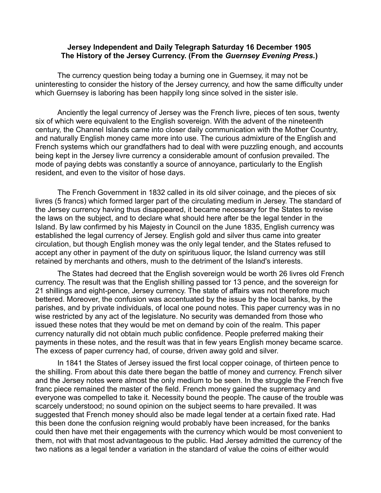## **Jersey Independent and Daily Telegraph Saturday 16 December 1905 The History of the Jersey Currency. (From the** *Guernsey Evening Press.***)**

The currency question being today a burning one in Guernsey, it may not be uninteresting to consider the history of the Jersey currency, and how the same difficulty under which Guernsey is laboring has been happily long since solved in the sister isle.

Anciently the legal currency of Jersey was the French livre, pieces of ten sous, twenty six of which were equivalent to the English sovereign. With the advent of the nineteenth century, the Channel Islands came into closer daily communication with the Mother Country, and naturally English money came more into use. The curious admixture of the English and French systems which our grandfathers had to deal with were puzzling enough, and accounts being kept in the Jersey livre currency a considerable amount of confusion prevailed. The mode of paying debts was constantly a source of annoyance, particularly to the English resident, and even to the visitor of hose days.

The French Government in 1832 called in its old silver coinage, and the pieces of six livres (5 francs) which formed larger part of the circulating medium in Jersey. The standard of the Jersey currency having thus disappeared, it became necessary for the States to revise the laws on the subject, and to declare what should here after be the legal tender in the Island. By law confirmed by his Majesty in Council on the June 1835, English currency was established the legal currency of Jersey. English gold and silver thus came into greater circulation, but though English money was the only legal tender, and the States refused to accept any other in payment of the duty on spirituous liquor, the Island currency was still retained by merchants and others, mush to the detriment of the Island's interests.

The States had decreed that the English sovereign would be worth 26 livres old French currency. The result was that the English shilling passed tor 13 pence, and the sovereign for 21 shillings and eight-pence, Jersey currency. The state of affairs was not therefore much bettered. Moreover, the confusion was accentuated by the issue by the local banks, by the parishes, and by private individuals, of local one pound notes. This paper currency was in no wise restricted by any act of the legislature. No security was demanded from those who issued these notes that they would be met on demand by coin of the realm. This paper currency naturally did not obtain much public confidence. People preferred making their payments in these notes, and the result was that in few years English money became scarce. The excess of paper currency had, of course, driven away gold and silver.

In 1841 the States of Jersey issued the first local copper coinage, of thirteen pence to the shilling. From about this date there began the battle of money and currency. French silver and the Jersey notes were almost the only medium to be seen. In the struggle the French five franc piece remained the master of the field. French money gained the supremacy and everyone was compelled to take it. Necessity bound the people. The cause of the trouble was scarcely understood; no sound opinion on the subject seems to hare prevailed. It was suggested that French money should also be made legal tender at a certain fixed rate. Had this been done the confusion reigning would probably have been increased, for the banks could then have met their engagements with the currency which would be most convenient to them, not with that most advantageous to the public. Had Jersey admitted the currency of the two nations as a legal tender a variation in the standard of value the coins of either would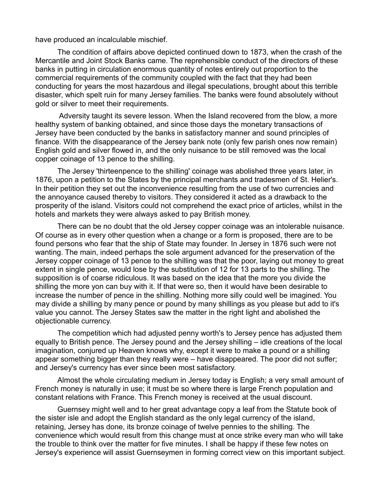have produced an incalculable mischief.

The condition of affairs above depicted continued down to 1873, when the crash of the Mercantile and Joint Stock Banks came. The reprehensible conduct of the directors of these banks in putting in circulation enormous quantity of notes entirely out proportion to the commercial requirements of the community coupled with the fact that they had been conducting for years the most hazardous and illegal speculations, brought about this terrible disaster, which spelt ruin for many Jersey families. The banks were found absolutely without gold or silver to meet their requirements.

 Adversity taught its severe lesson. When the Island recovered from the blow, a more healthy system of banking obtained, and since those days the monetary transactions of Jersey have been conducted by the banks in satisfactory manner and sound principles of finance. With the disappearance of the Jersey bank note (only few parish ones now remain) English gold and silver flowed in, and the only nuisance to be still removed was the local copper coinage of 13 pence to the shilling.

The Jersey 'thirteenpence to the shilling' coinage was abolished three years later, in 1876, upon a petition to the States by the principal merchants and tradesmen of St. Helier's. In their petition they set out the inconvenience resulting from the use of two currencies and the annoyance caused thereby to visitors. They considered it acted as a drawback to the prosperity of the island. Visitors could not comprehend the exact price of articles, whilst in the hotels and markets they were always asked to pay British money.

There can be no doubt that the old Jersey copper coinage was an intolerable nuisance. Of course as in every other question when a change or a form is proposed, there are to be found persons who fear that the ship of State may founder. In Jersey in 1876 such were not wanting. The main, indeed perhaps the sole argument advanced for the preservation of the Jersey copper coinage of 13 pence to the shilling was that the poor, laying out money to great extent in single pence, would lose by the substitution of 12 for 13 parts to the shilling. The supposition is of coarse ridiculous. It was based on the idea that the more you divide the shilling the more yon can buy with it. If that were so, then it would have been desirable to increase the number of pence in the shilling. Nothing more silly could well be imagined. You may divide a shilling by many pence or pound by many shillings as you please but add to it's value you cannot. The Jersey States saw the matter in the right light and abolished the objectionable currency.

The competition which had adjusted penny worth's to Jersey pence has adjusted them equally to British pence. The Jersey pound and the Jersey shilling – idle creations of the local imagination, conjured up Heaven knows why, except it were to make a pound or a shilling appear something bigger than they really were – have disappeared. The poor did not suffer; and Jersey's currency has ever since been most satisfactory.

Almost the whole circulating medium in Jersey today is English; a very small amount of French money is naturally in use; it must be so where there is large French population and constant relations with France. This French money is received at the usual discount.

Guernsey might well and to her great advantage copy a leaf from the Statute book of the sister isle and adopt the English standard as the only legal currency of the island, retaining, Jersey has done, its bronze coinage of twelve pennies to the shilling. The convenience which would result from this change must at once strike every man who will take the trouble to think over the matter for five minutes. I shall be happy if these few notes on Jersey's experience will assist Guernseymen in forming correct view on this important subject.